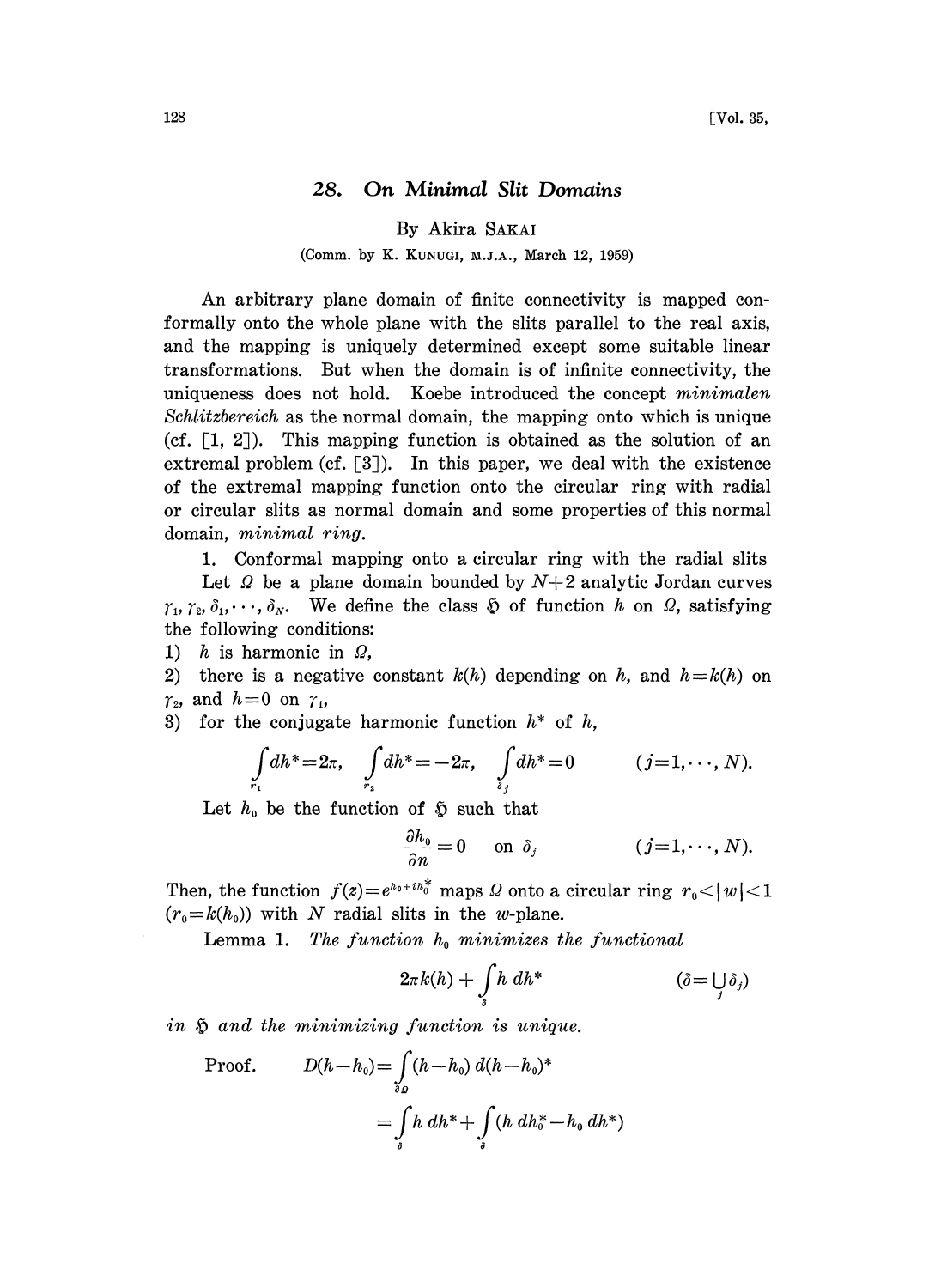## 28. On Minimal Slit Domains

By Akira SAKAI

(Comm. by K. KUNUGI, M.J.A., March 12, 1959)

An arbitrary plane domain of finite connectivity is mapped conformally onto the whole plane with the slits parallel to the real axis, and the mapping is uniquely determined except some suitable linear transformations. But when the domain is of infinite connectivity, the uniqueness does not hold. Koebe introduced the concept minimalen Schlitzbereich as the normal domain, the mapping onto which is unique (cf.  $\lceil 1, 2 \rceil$ ). This mapping function is obtained as the solution of an extremal problem (cf.  $[3]$ ). In this paper, we deal with the existence of the extremal mapping function onto the circular ring with radial or circular slits as normal domain and some properties of this normal domain, minimal ring.

1. Conformal mapping onto a circular ring with the radial slits

Let  $\Omega$  be a plane domain bounded by  $N+2$  analytic Jordan curves  $\gamma_1, \gamma_2, \delta_1, \cdots, \delta_N$ . We define the class  $\mathfrak{D}$  of function h on  $\Omega$ , satisfying the following conditions:

1) h is harmonic in  $\Omega$ ,

2) there is a negative constant  $k(h)$  depending on h, and  $h=k(h)$  on  $\gamma_2$ , and  $h = 0$  on  $\gamma_1$ ,

3) for the conjugate harmonic function  $h^*$  of  $h$ ,

$$
\int_{r_1} dh^* = 2\pi, \quad \int_{r_2} dh^* = -2\pi, \quad \int_{s_j} dh^* = 0 \quad (j = 1, \dots, N).
$$

Let  $h_0$  be the function of  $\mathfrak{H}$  such that

$$
\frac{\partial h_0}{\partial n} = 0 \quad \text{on } \delta_j \qquad (j=1,\cdots,N).
$$

Then, the function  $f(z) = e^{h_0 + ih_0^*}$  maps  $\Omega$  onto a circular ring  $r_0 < |w| < 1$  $(r_0=k(h_0))$  with N radial slits in the w-plane.

Lemma 1. The function  $h_0$  minimizes the functional

$$
2\pi k(h) + \int\limits_{\delta} h \, dh^* \qquad (\delta = \bigcup_j \delta_j)
$$

in  $\tilde{p}$  and the minimizing function is unique.

Proof. 
$$
D(h-h_0) = \int_{\delta_B} (h-h_0) d(h-h_0)^*
$$

$$
= \int_{\delta} h \, dh^* + \int_{\delta} (h \, dh_0^* - h_0 \, dh^*)
$$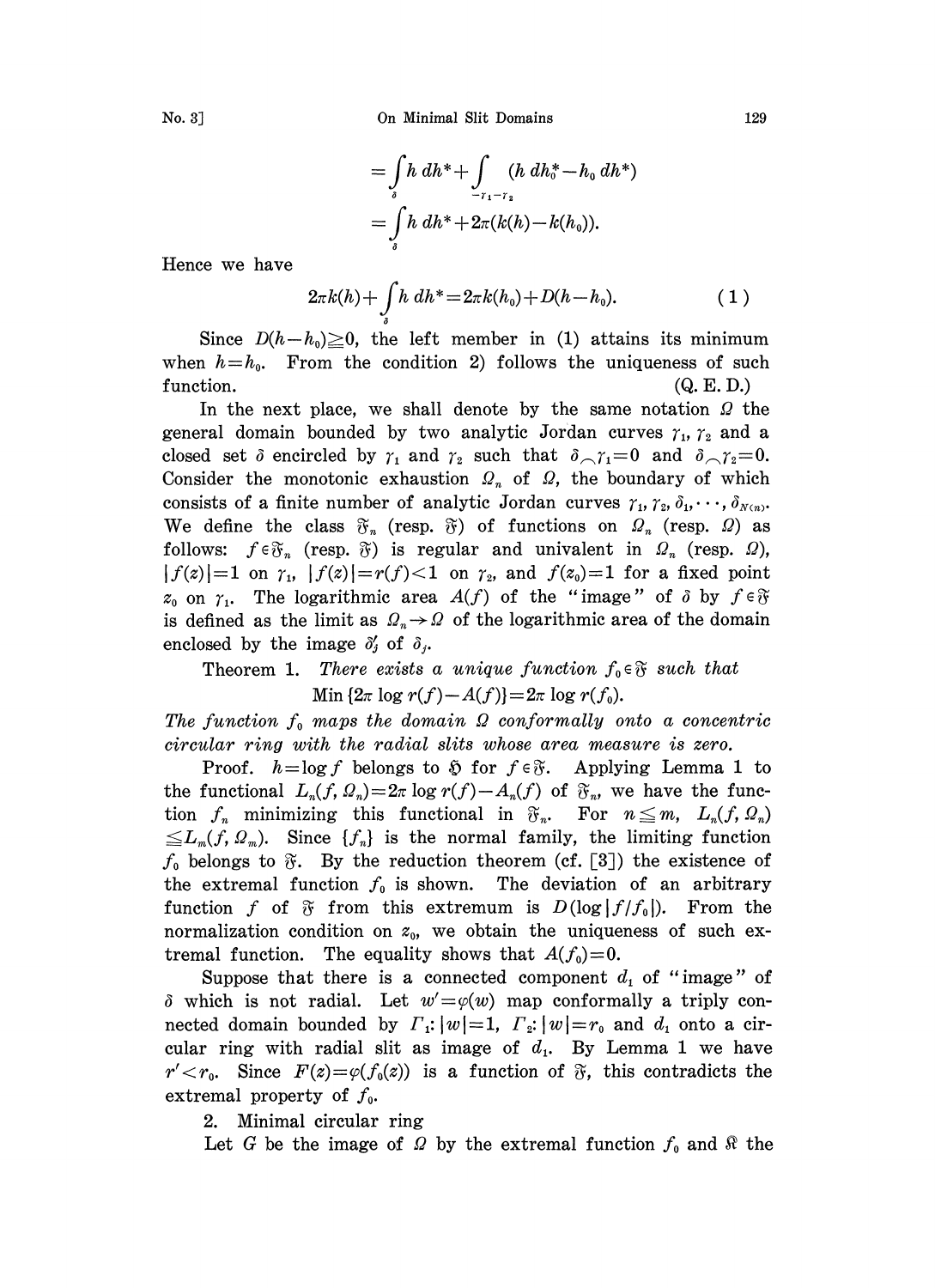No. 3J On Minimal Slit Domains 129

$$
= \int_{s} h \, dh^* + \int_{-r_1 - r_2} (h \, dh^* - h_0 \, dh^*)
$$
  
= 
$$
\int_{s} h \, dh^* + 2\pi (k(h) - k(h_0)).
$$

Hence we have

$$
2\pi k(h) + \int\limits_{s} h \, dh^* = 2\pi k(h_0) + D(h - h_0). \tag{1}
$$

Since  $D(h-h_0)\geq 0$ , the left member in (1) attains its minimum when  $h=h_0$ . From the condition 2) follows the uniqueness of such function. (Q. E. D.)

In the next place, we shall denote by the same notation  $\Omega$  the general domain bounded by two analytic Jordan curves  $r_1$ ,  $r_2$  and a closed set  $\delta$  encircled by  $\gamma_1$  and  $\gamma_2$  such that  $\delta_{\gamma_1} = 0$  and  $\delta_{\gamma_2} = 0$ . Consider the monotonic exhaustion  $\Omega_n$  of  $\Omega$ , the boundary of which consists of a finite number of analytic Jordan curves  $\gamma_1, \gamma_2, \delta_1, \cdots, \delta_{N(n)}$ . We define the class  $\mathfrak{F}_n$  (resp.  $\mathfrak{F}$ ) of functions on  $\Omega_n$  (resp.  $\Omega$ ) as follows:  $f \in \mathfrak{F}_n$  (resp.  $\mathfrak{F}$ ) is regular and univalent in  $\Omega_n$  (resp.  $\Omega$ ),  $|f(z)|=1$  on  $\gamma_1$ ,  $|f(z)| = r(f) < 1$  on  $\gamma_2$ , and  $f(z_0)=1$  for a fixed point  $z_0$  on  $\gamma_1$ . The logarithmic area  $A(f)$  of the "image" of  $\delta$  by  $f \in \mathfrak{F}$ is defined as the limit as  $\Omega_n \rightarrow \Omega$  of the logarithmic area of the domain enclosed by the image  $\delta'_j$  of  $\delta_j$ .

## Theorem 1. There exists a unique function  $f_0 \in \mathfrak{F}$  such that Min  $\{2\pi \log r(f)-A(f)\}=2\pi \log r(f_0).$

The function  $f_0$  maps the domain  $\Omega$  conformally onto a concentric

circular ring with the radial slits whose area measure is zero.<br>Proof.  $h = \log f$  belongs to  $\mathfrak H$  for  $f \in \mathfrak F$ . Applying Lemma 1 to Proof.  $h = \log f$  belongs to  $\tilde{\mathfrak{D}}$  for  $f \in \tilde{\mathfrak{F}}$ . Applying Lemma 1 to the functional  $L_n(f, \Omega_n) = 2\pi \log r(f) - A_n(f)$  of  $\mathfrak{F}_n$ , we have the function  $f_n$  minimizing this functional in  $\mathfrak{F}_n$ . For  $n \leq m$ ,  $L_n(f, \Omega_n)$  $\leq L_m(f, \Omega_m)$ . Since  $\{f_n\}$  is the normal family, the limiting function  $f_0$  belongs to  $\tilde{v}$ . By the reduction theorem (cf. [3]) the existence of the extremal function  $f_0$  is shown. The deviation of an arbitrary function f of  $\mathfrak F$  from this extremum is  $D(\log |f/f_0|)$ . From the normalization condition on  $z_0$ , we obtain the uniqueness of such extremal function. The equality shows that  $A(f_0)=0$ .

Suppose that there is a connected component  $d_1$  of "image" of  $\delta$  which is not radial. Let  $w' = \varphi(w)$  map conformally a triply connected domain bounded by  $\Gamma_1$ :  $|w|=1$ ,  $\Gamma_2$ :  $|w|=r_0$  and  $d_1$  onto a circular ring with radial slit as image of  $d_1$ . By Lemma 1 we have  $r' < r_0$ . Since  $F(z) = \varphi(f_0(z))$  is a function of  $\tilde{\sigma}$ , this contradicts the extremal property of  $f_0$ .

2. Minimal circular ring

Let G be the image of  $\Omega$  by the extremal function  $f_0$  and  $\Re$  the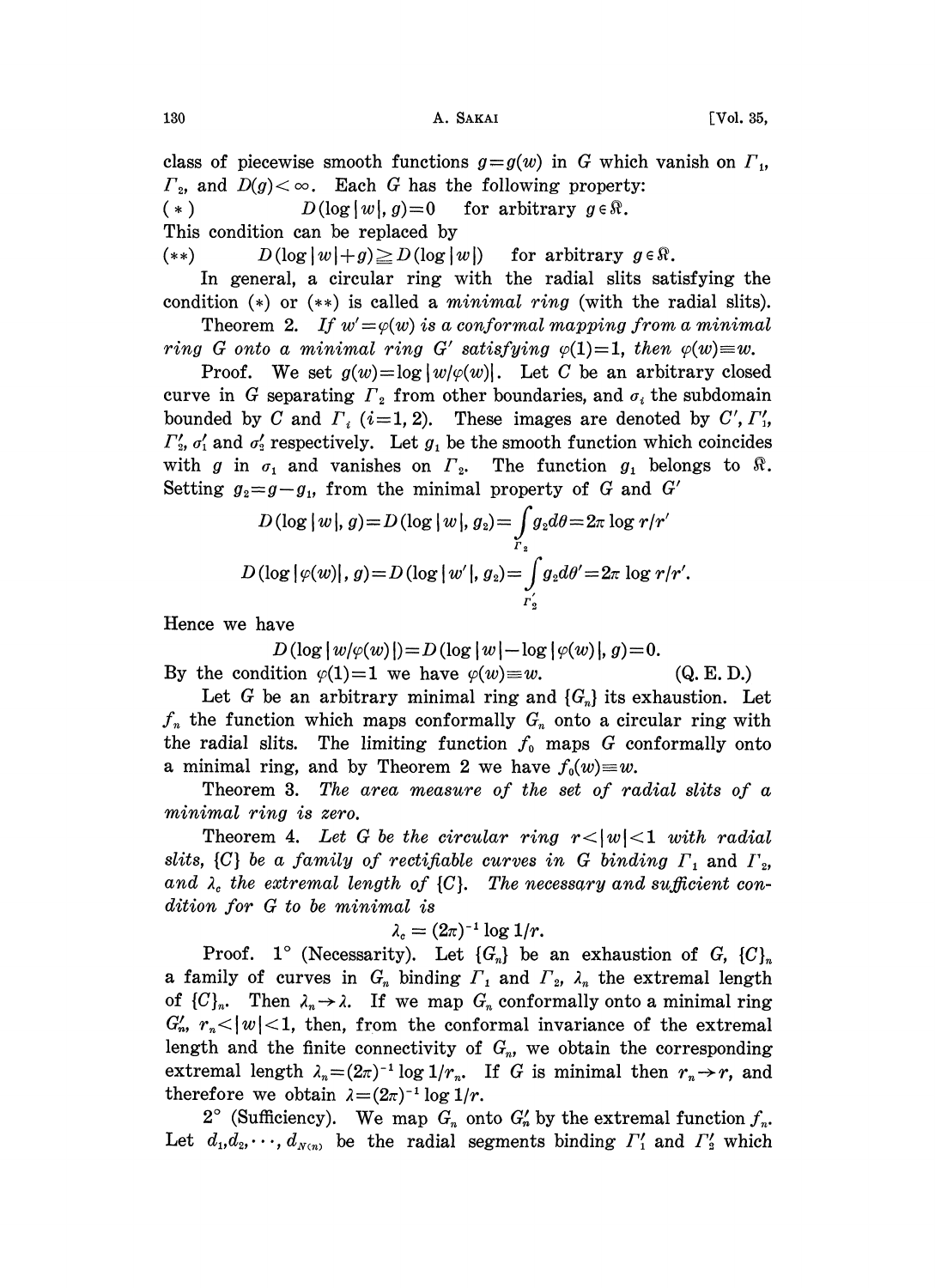class of piecewise smooth functions  $g = g(w)$  in G which vanish on  $\Gamma_1$ ,  $\Gamma_2$ , and  $D(g) < \infty$ . Each G has the following property: (\*)  $D(\log |w|, g) = 0$  for arbitrary  $g \in \mathbb{R}$ . This condition can be replaced by

(\*\*)  $D(\log|w|+g) \ge D(\log|w|)$  for arbitrary  $g \in \mathbb{R}$ .

In general, a circular ring with the radial slits satisfying the condition  $(*)$  or  $(**)$  is called a *minimal ring* (with the radial slits).

Theorem 2. If  $w' = \varphi(w)$  is a conformal mapping from a minimal ring G onto a minimal ring G' satisfying  $\varphi(1)=1$ , then  $\varphi(w)=w$ .

Proof. We set  $g(w) = \log |w/\varphi(w)|$ . Let C be an arbitrary closed curve in G separating  $\Gamma_2$  from other boundaries, and  $\sigma_i$  the subdomain bounded by C and  $\Gamma_i$  (i=1, 2). These images are denoted by C',  $\Gamma'_i$ ,  $\Gamma'_2$ ,  $\sigma'_1$  and  $\sigma'_2$  respectively. Let  $g_1$  be the smooth function which coincides with g in  $\sigma_1$  and vanishes on  $\Gamma_2$ . The function  $g_1$  belongs to  $\Re$ . Setting  $g_2 = g - g_1$ , from the minimal property of G and G'

$$
D(\log |w|, g) = D(\log |w|, g_2) = \int_{r_z} g_2 d\theta = 2\pi \log r/r'
$$
  

$$
D(\log |\varphi(w)|, g) = D(\log |w'|, g_2) = \int_{r_z'} g_2 d\theta' = 2\pi \log r/r'.
$$

Hence we have

 $D(\log |w/\varphi(w)|)=D(\log |w|-\log |\varphi(w)|, g)=0.$ By the condition  $\varphi(1)=1$  we have  $\varphi(w)=w$ . (Q. E. D.)

Let G be an arbitrary minimal ring and  $\{G_n\}$  its exhaustion. Let  $f_n$  the function which maps conformally  $G_n$  onto a circular ring with the radial slits. The limiting function  $f_0$  maps G conformally onto a minimal ring, and by Theorem 2 we have  $f_0(w)=w$ .

Theorem 3. The area measure of the set of radial slits of a minimal ring is zero.

Theorem 4. Let G be the circular ring  $r<|w|<1$  with radial slits,  $\{C\}$  be a family of rectifiable curves in G binding  $\Gamma_1$  and  $\Gamma_2$ , and  $\lambda_c$  the extremal length of  $\{C\}$ . The necessary and sufficient condition for G to be minimal is

$$
\lambda_c = (2\pi)^{-1} \log 1/r.
$$

 $\lambda_c = (2\pi)^{-1} \log 1/r.$ <br>Proof. 1° (Necessarity). Let  $\{G_n\}$  be an exhaustion of G,  $\{C\}_n$ a family of curves in  $G_n$  binding  $\Gamma_1$  and  $\Gamma_2$ ,  $\lambda_n$  the extremal length of  $\{C\}_n$ . Then  $\lambda_n \to \lambda$ . If we map  $G_n$  conformally onto a minimal ring  $G'_n$ ,  $r_n < |w| < 1$ , then, from the conformal invariance of the extremal length and the finite connectivity of  $G_n$ , we obtain the corresponding extremal length  $\lambda_n = (2\pi)^{-1} \log 1/r_n$ . If G is minimal then  $r_n \to r$ , and therefore we obtain  $\lambda = (2\pi)^{-1} \log 1/r$ . therefore we obtain  $\lambda = (2\pi)^{-1} \log 1/r$ .

efore we obtain  $\lambda = (2\pi)^{-1} \log 1/r$ .<br>2° (Sufficiency). We map  $G_n$  onto  $G_n'$  by the extremal function  $f_n$ . Let  $d_1, d_2, \dots, d_{N(n)}$  be the radial segments binding  $\Gamma'_1$  and  $\Gamma'_2$  which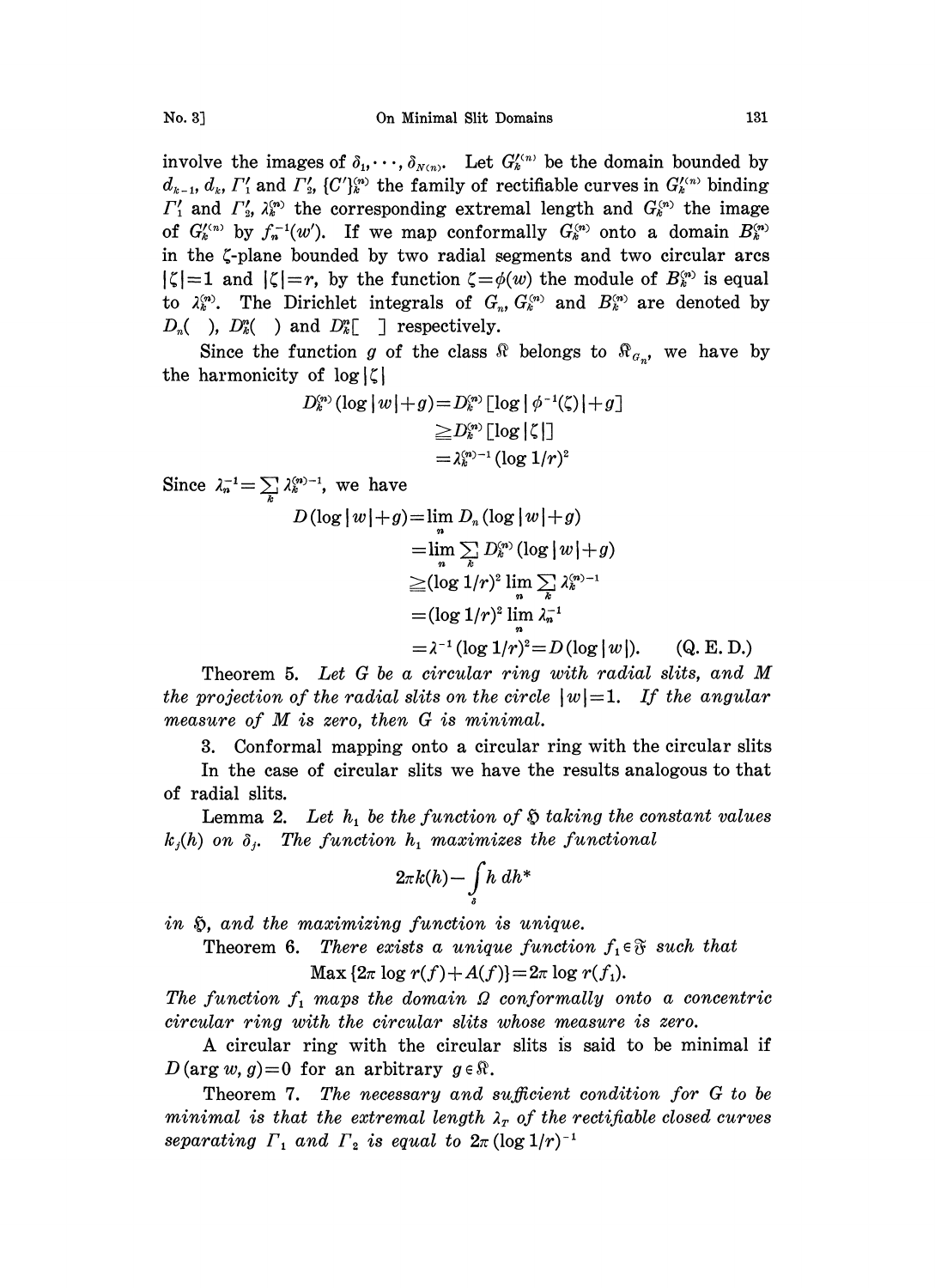involve the images of  $\delta_1, \dots, \delta_{N(n)}$ . Let  $G_k^{(n)}$  be the domain bounded by  $d_{k-1}$ ,  $d_k$ ,  $\Gamma'_1$  and  $\Gamma'_2$ ,  $\{C'\}_{k}^{(n)}$  the family of rectifiable curves in  $G_k^{(\prime n)}$  binding  $\Gamma'_1$  and  $\Gamma'_2$ ,  $\lambda_k^{(n)}$  the corresponding extremal length and  $G_k^{(n)}$  the image of  $G_k^{\prime(n)}$  by  $f_n^{-1}(w')$ . If we map conformally  $G_k^{\prime(n)}$  onto a domain  $B_k^{\prime(n)}$ in the  $\zeta$ -plane bounded by two radial segments and two circular arcs  $|\zeta|=1$  and  $|\zeta|=r$ , by the function  $\zeta=\phi(w)$  the module of  $B_{\kappa}^{(n)}$  is equal to  $\lambda_k^{(n)}$ . The Dirichlet integrals of  $G_n, G_k^{(n)}$  and  $B_k^{(n)}$  are denoted by  $D_n$ ( ),  $D_k^n$ ( ) and  $D_k^n$ [ ] respectively.

Since the function g of the class  $\Re$  belongs to  $\Re_{a_n}$ , we have by the harmonicity of  $log |\zeta|$ 

$$
D_k^{\scriptscriptstyle{(n)}}\left(\log|w|+g\right) = D_k^{\scriptscriptstyle{(n)}}\left[\log|\phi^{-1}(\zeta)|+g\right]
$$

$$
\geqq D_k^{\scriptscriptstyle{(n)}}\left[\log|\zeta|\right]
$$

$$
=\lambda_k^{\scriptscriptstyle{(n)}}{}^{-1}\left(\log 1/r\right)^2
$$

Since  $\lambda_n^{-1} = \sum_k \lambda_k^{(n)-1}$ , we have

$$
D(\log |w| + g) = \lim_{n} D_n (\log |w| + g)
$$
  
\n
$$
= \lim_{n} \sum_{k} D_k^{(n)} (\log |w| + g)
$$
  
\n
$$
\geq (\log 1/r)^2 \lim_{n} \sum_{k} \lambda_k^{(n)} - 1
$$
  
\n
$$
= (\log 1/r)^2 \lim_{n} \lambda_n^{-1}
$$
  
\n
$$
= \lambda^{-1} (\log 1/r)^2 = D(\log |w|).
$$
 (Q. E. D.)

 $= \lambda^{-1} (\log 1/r)^2 = D(\log |w|).$  (Q. E. D.)<br>Theorem 5. Let G be a circular ring with radial slits, and M<br>the projection of the radial slits on the circle  $|w| = 1$ . If the angular<br>measure of M is zero, then G is minimal Theorem 5. Let G be a circular ring with radial slits, and M measure of M is zero, then <sup>G</sup> is minimal.

3. Conformal mapping onto a circular ring with the circular slits

In the case of circular slits we have the results analogous to that of radial slits.

Lemma 2. Let  $h_1$  be the function of  $\mathfrak H$  taking the constant values  $k_j(h)$  on  $\delta_i$ . The function  $h_1$  maximizes the functional

$$
2\pi k(h) - \int\limits_{s} h \ dh^*
$$

in  $\mathfrak{H}$ , and the maximizing function is unique.

Theorem 6. There exists a unique function  $f_i \in \mathfrak{F}$  such that

 $\text{Max } \{2\pi \log r(f) + A(f)\} = 2\pi \log r(f_1).$ 

The function  $f_1$  maps the domain  $\Omega$  conformally onto a concentric circular ring with the circular slits whose measure is zero.

A circular ring with the circular slits is said to be minimal if  $D(\arg w, g)=0$  for an arbitrary  $g \in \mathbb{R}$ .

Theorem 7. The necessary and sufficient condition for G to be minimal is that the extremal length  $\lambda_r$  of the rectifiable closed curves separating  $\Gamma_1$  and  $\Gamma_2$  is equal to  $2\pi (\log 1/r)^{-1}$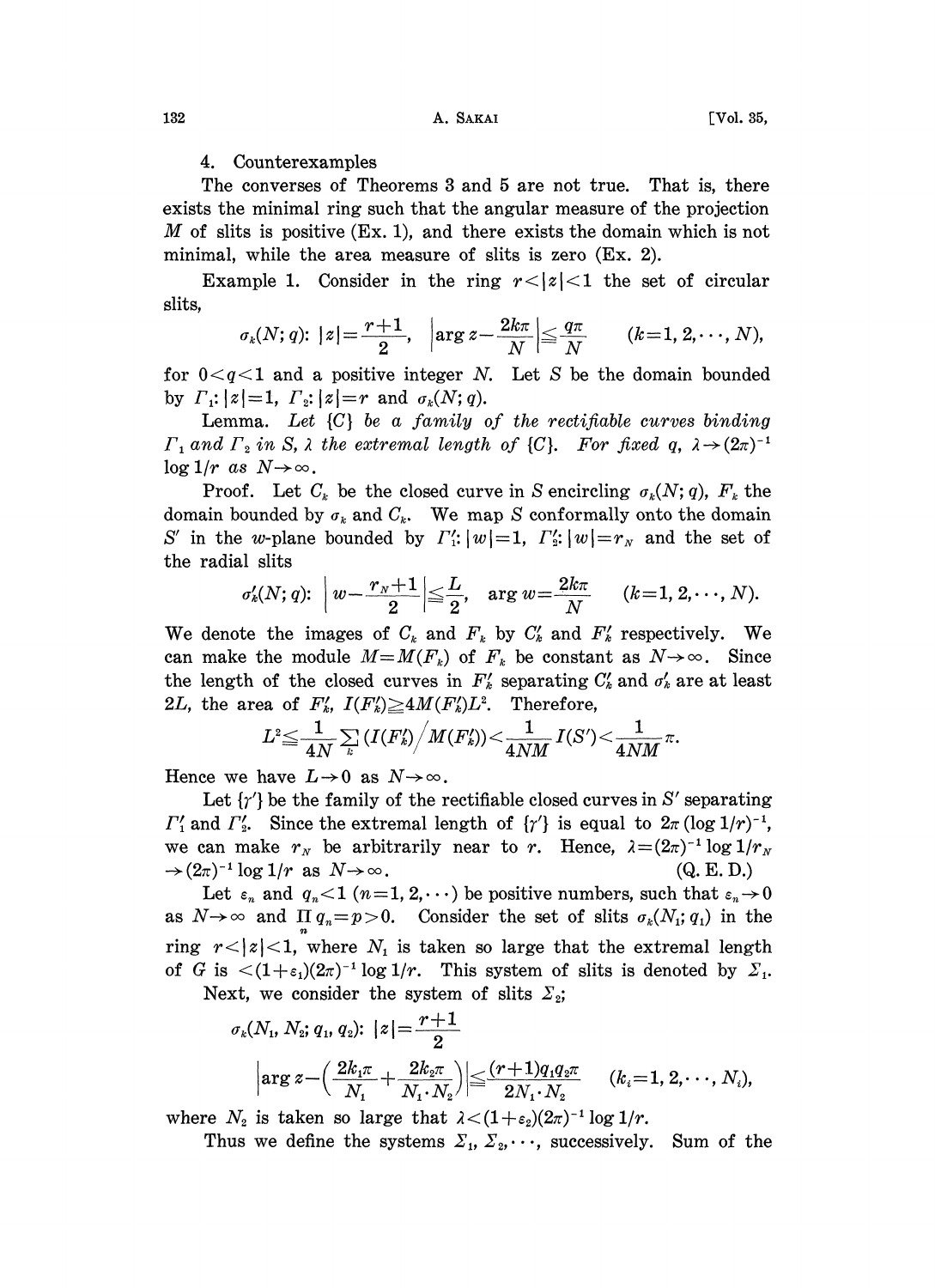## 4. Counterexamples

The converses of Theorems 3 and 5 are not true. That is, there exists the minimal ring such that the angular measure of the projection M of slits is positive  $(Ex. 1)$ , and there exists the domain which is not minimal, while the area measure of slits is zero (Ex. 2).

Example 1. Consider in the ring  $r<|z|<1$  the set of circular slits,

$$
\sigma_k(N;q) \colon |z| = \frac{r+1}{2}, \quad \left|\arg z - \frac{2k\pi}{N}\right| \leq \frac{q\pi}{N} \qquad (k=1,2,\cdots,N),
$$

for  $0 < q < 1$  and a positive integer N. Let S be the domain bounded by  $\Gamma_1$ :  $|z|=1$ ,  $\Gamma_2$ :  $|z|=r$  and  $\sigma_k(N; q)$ .

Lemma. Let  $\{C\}$  be a family of the rectifiable curves binding  $\Gamma_1$  and  $\Gamma_2$  in S,  $\lambda$  the extremal length of  $\{C\}$ . For fixed  $q$ ,  $\lambda \rightarrow (2\pi)$  $\log 1/r$  as  $N\!\!\rightarrow\!\infty$ .

Proof. Let  $C_k$  be the closed curve in S encircling  $\sigma_k(N; q)$ ,  $F_k$  the domain bounded by  $\sigma_k$  and  $C_k$ . We map S conformally onto the domain S' in the w-plane bounded by  $\Gamma'_{1}: |w|=1, \Gamma'_{2}: |w|=r_{N}$  and the set of the radial slits

$$
\sigma'_k(N;q) \colon \left| \, w - \frac{r_{\scriptscriptstyle N}+1}{2} \right| \leqq \frac{L}{2}, \quad \text{arg } w\!=\!\frac{2k\pi}{N} \quad \ \ (k\!=\!1,2,\cdots\!,N).
$$

We denote the images of  $C_k$  and  $F_k$  by  $C'_k$  and  $F'_k$  respectively. We can make the module  $M=M(F_k)$  of  $F_k$  be constant as  $N\rightarrow\infty$ . Since the length of the closed curves in  $F'_{k}$  separating  $C'_{k}$  and  $\sigma'_{k}$  are at least 2L, the area of  $F'_k$ ,  $I(F'_k) \geq 4M(F'_k)L^2$ . Therefore,

$$
L^2\hspace{-0.5mm} \leq \hspace{-0.5mm} \frac{1}{4N}\sum\limits_k \left(I(F'_k)\Big/M(F'_k)\right)\hspace{-0.5mm}<\hspace{-0.5mm} \frac{1}{4NM}I(S')\hspace{-0.5mm}<\hspace{-0.5mm} \frac{1}{4NM}\pi.
$$

Hence we have  $L\rightarrow 0$  as  $N\rightarrow\infty$ .

 $L^2 \leq \frac{1}{4N} \sum_k (I(F'_k)/M(F'_k)) < \frac{1}{4NM} I(S') < \frac{1}{4NM} \pi$ .<br>
Hence we have  $L \to 0$  as  $N \to \infty$ .<br>
Let  $\{r'\}$  be the family of the rectifiable closed curves in S' separating<br>  $\Gamma'_1$  and  $\Gamma'_2$ . Since the extremal length of  $\{r$ Let  $\{\gamma'\}$  be the family of the rectifiable closed curves in S' separating  $\Gamma'_1$  and  $\Gamma'_2$ . Since the extremal length of  $\{\gamma'\}$  is equal to  $2\pi (\log 1/r)^{-1}$ ,  $\rightarrow$   $(2\pi)^{-1} \log 1/r$  as  $N \rightarrow \infty$ .  $(\pi)^{-1} \log 1/r$  as  $N \to \infty$ . (Q. E. D.)<br>Let  $\varepsilon_n$  and  $q_n < 1$  (n=1, 2,...) be positive numbers, such that  $\varepsilon_n \to 0$ 

as  $N \rightarrow \infty$  and  $\Pi q_n = p > 0$ . Consider the set of slits  $\sigma_k(N_1; q_1)$  in the ring  $r < |z| < 1$ , where  $N<sub>1</sub>$  is taken so large that the extremal length of G is  $\lt (1+\epsilon_1)(2\pi)^{-1} \log 1/r$ . This system of slits is denoted by  $\Sigma_1$ .<br>Next, we consider the system of slits  $\Sigma_2$ ;

Next, we consider the system of slits  $\Sigma_2$ ;

$$
\begin{aligned} & \sigma_k(N_1,\,N_2;q_1,\,q_2) \colon \, |z| \!=\! \frac{r\!+\!1}{2} \\ & \left| \arg z \!-\! \Big(\frac{2k_1\pi}{N_1} \!+\! \frac{2k_2\pi}{N_1 \!\cdot\! N_2} \Big) \right| \!\!\leq\! \frac{(r\!+\!1)q_1q_2\pi}{2N_1 \!\cdot\! N_2} \qquad (k_i\!=\!1,2,\!\cdots\!,N_i), \end{aligned}
$$

where  $N_2$  is taken so large that  $\lambda < (1+\varepsilon_2)(2\pi)^{-1} \log 1/r$ .

re  $N_2$  is taken so large that  $\lambda < (1 + \varepsilon_2)(2\pi)^{-1} \log 1/r$ .<br>Thus we define the systems  $\Sigma_1, \Sigma_2, \cdots$ , successively. Sum of the